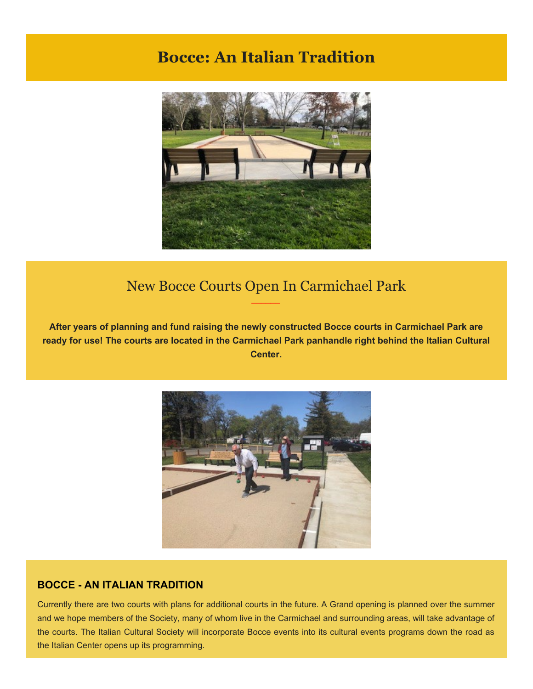## **Bocce: An Italian Tradition**



## New Bocce Courts Open In Carmichael Park *\_\_\_\_\_\_*

**After years of planning and fund raising the newly constructed Bocce courts in Carmichael Park are ready for use! The courts are located in the Carmichael Park panhandle right behind the Italian Cultural Center.**



## **BOCCE - AN ITALIAN TRADITION**

Currently there are two courts with plans for additional courts in the future. A Grand opening is planned over the summer and we hope members of the Society, many of whom live in the Carmichael and surrounding areas, will take advantage of the courts. The Italian Cultural Society will incorporate Bocce events into its cultural events programs down the road as the Italian Center opens up its programming.